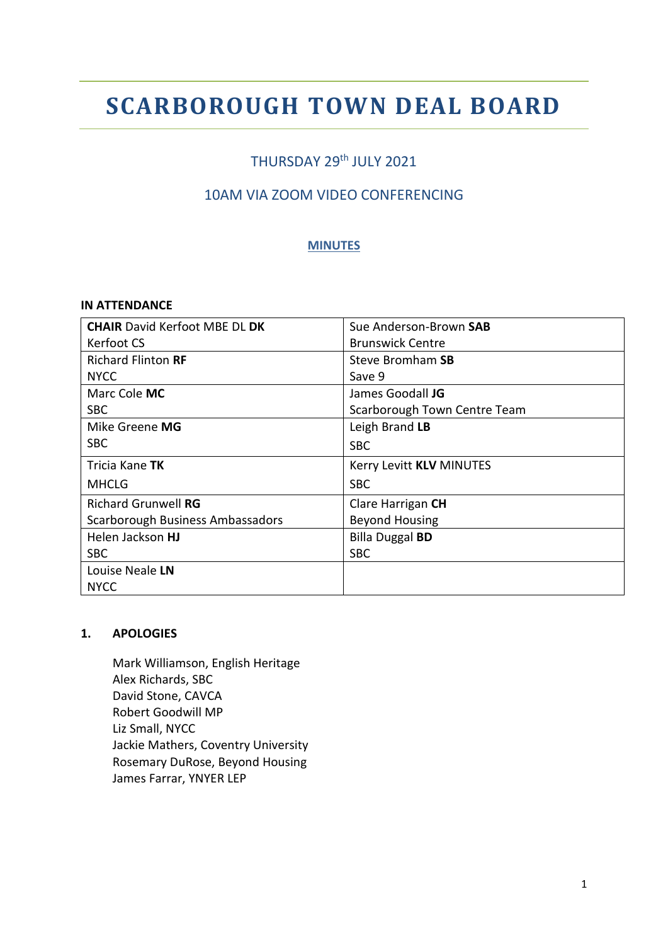# **SCARBOROUGH TOWN DEAL BOARD**

## THURSDAY 29<sup>th</sup> JULY 2021

### 10AM VIA ZOOM VIDEO CONFERENCING

#### **MINUTES**

#### **IN ATTENDANCE**

| <b>CHAIR David Kerfoot MBE DL DK</b> | Sue Anderson-Brown SAB       |
|--------------------------------------|------------------------------|
| Kerfoot CS                           | <b>Brunswick Centre</b>      |
| <b>Richard Flinton RF</b>            | Steve Bromham SB             |
| <b>NYCC</b>                          | Save 9                       |
| Marc Cole MC                         | James Goodall JG             |
| <b>SBC</b>                           | Scarborough Town Centre Team |
| Mike Greene MG                       | Leigh Brand LB               |
| SBC.                                 | <b>SBC</b>                   |
| Tricia Kane <b>TK</b>                | Kerry Levitt KLV MINUTES     |
| <b>MHCLG</b>                         | <b>SBC</b>                   |
| <b>Richard Grunwell RG</b>           | Clare Harrigan CH            |
| Scarborough Business Ambassadors     | <b>Beyond Housing</b>        |
| Helen Jackson HJ                     | <b>Billa Duggal BD</b>       |
| <b>SBC</b>                           | <b>SBC</b>                   |
| Louise Neale LN                      |                              |
| <b>NYCC</b>                          |                              |

#### **1. APOLOGIES**

Mark Williamson, English Heritage Alex Richards, SBC David Stone, CAVCA Robert Goodwill MP Liz Small, NYCC Jackie Mathers, Coventry University Rosemary DuRose, Beyond Housing James Farrar, YNYER LEP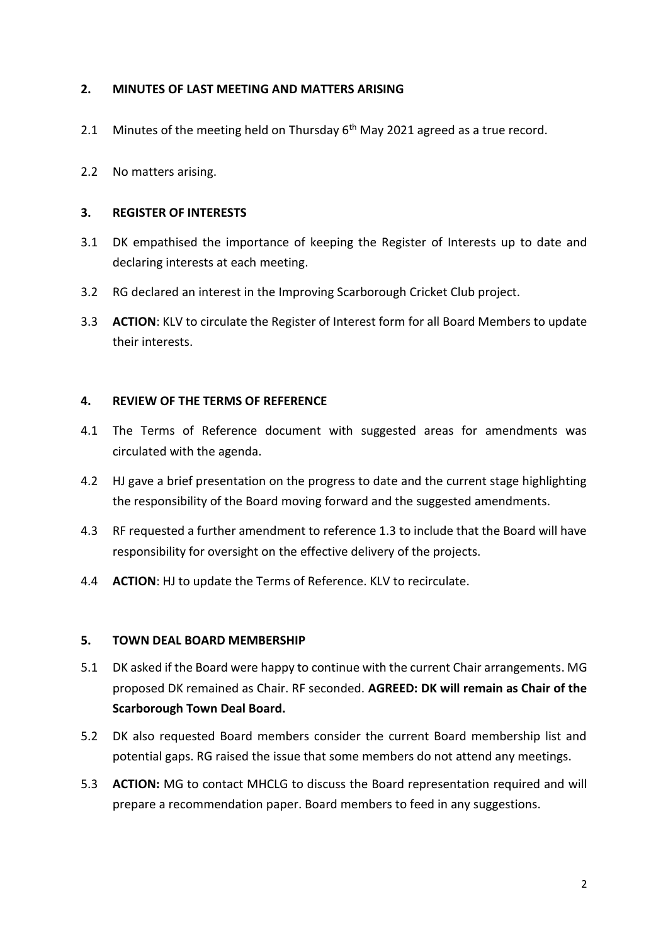#### **2. MINUTES OF LAST MEETING AND MATTERS ARISING**

- 2.1 Minutes of the meeting held on Thursday  $6<sup>th</sup>$  May 2021 agreed as a true record.
- 2.2 No matters arising.

#### **3. REGISTER OF INTERESTS**

- 3.1 DK empathised the importance of keeping the Register of Interests up to date and declaring interests at each meeting.
- 3.2 RG declared an interest in the Improving Scarborough Cricket Club project.
- 3.3 **ACTION**: KLV to circulate the Register of Interest form for all Board Members to update their interests.

#### **4. REVIEW OF THE TERMS OF REFERENCE**

- 4.1 The Terms of Reference document with suggested areas for amendments was circulated with the agenda.
- 4.2 HJ gave a brief presentation on the progress to date and the current stage highlighting the responsibility of the Board moving forward and the suggested amendments.
- 4.3 RF requested a further amendment to reference 1.3 to include that the Board will have responsibility for oversight on the effective delivery of the projects.
- 4.4 **ACTION**: HJ to update the Terms of Reference. KLV to recirculate.

#### **5. TOWN DEAL BOARD MEMBERSHIP**

- 5.1 DK asked if the Board were happy to continue with the current Chair arrangements. MG proposed DK remained as Chair. RF seconded. **AGREED: DK will remain as Chair of the Scarborough Town Deal Board.**
- 5.2 DK also requested Board members consider the current Board membership list and potential gaps. RG raised the issue that some members do not attend any meetings.
- 5.3 **ACTION:** MG to contact MHCLG to discuss the Board representation required and will prepare a recommendation paper. Board members to feed in any suggestions.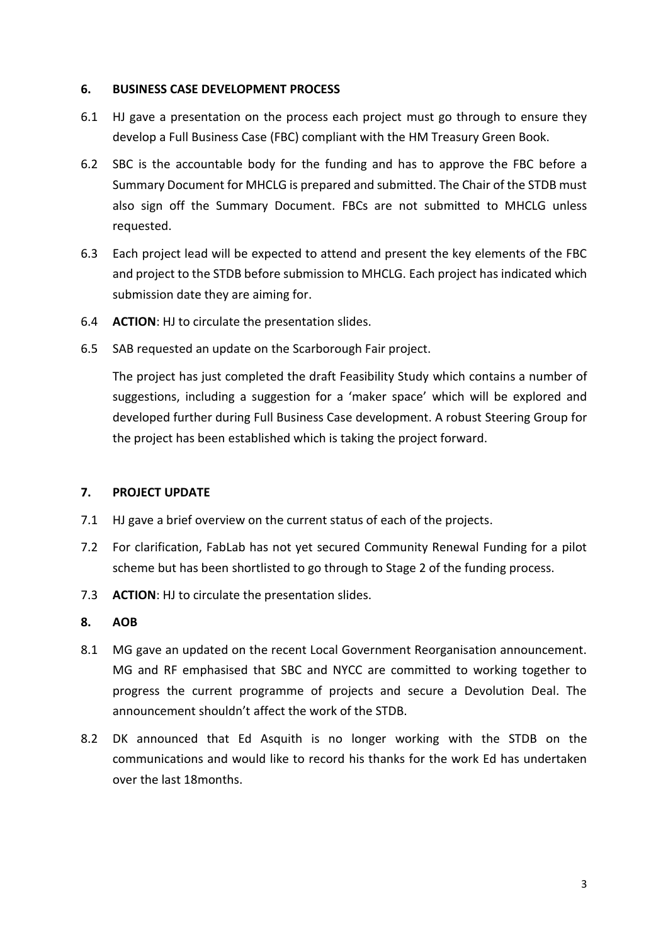#### **6. BUSINESS CASE DEVELOPMENT PROCESS**

- 6.1 HJ gave a presentation on the process each project must go through to ensure they develop a Full Business Case (FBC) compliant with the HM Treasury Green Book.
- 6.2 SBC is the accountable body for the funding and has to approve the FBC before a Summary Document for MHCLG is prepared and submitted. The Chair of the STDB must also sign off the Summary Document. FBCs are not submitted to MHCLG unless requested.
- 6.3 Each project lead will be expected to attend and present the key elements of the FBC and project to the STDB before submission to MHCLG. Each project has indicated which submission date they are aiming for.
- 6.4 **ACTION**: HJ to circulate the presentation slides.
- 6.5 SAB requested an update on the Scarborough Fair project.

The project has just completed the draft Feasibility Study which contains a number of suggestions, including a suggestion for a 'maker space' which will be explored and developed further during Full Business Case development. A robust Steering Group for the project has been established which is taking the project forward.

#### **7. PROJECT UPDATE**

- 7.1 HJ gave a brief overview on the current status of each of the projects.
- 7.2 For clarification, FabLab has not yet secured Community Renewal Funding for a pilot scheme but has been shortlisted to go through to Stage 2 of the funding process.
- 7.3 **ACTION**: HJ to circulate the presentation slides.

#### **8. AOB**

- 8.1 MG gave an updated on the recent Local Government Reorganisation announcement. MG and RF emphasised that SBC and NYCC are committed to working together to progress the current programme of projects and secure a Devolution Deal. The announcement shouldn't affect the work of the STDB.
- 8.2 DK announced that Ed Asquith is no longer working with the STDB on the communications and would like to record his thanks for the work Ed has undertaken over the last 18months.